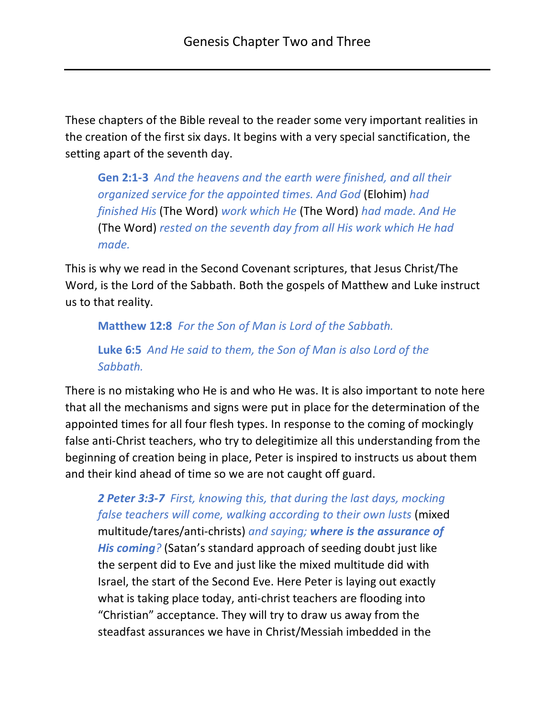These chapters of the Bible reveal to the reader some very important realities in the creation of the first six days. It begins with a very special sanctification, the setting apart of the seventh day.

**Gen 2:1-3** *And the heavens and the earth were finished, and all their organized service for the appointed times. And God* (Elohim) *had finished His* (The Word) *work which He* (The Word) *had made. And He*  (The Word) *rested on the seventh day from all His work which He had made.*

This is why we read in the Second Covenant scriptures, that Jesus Christ/The Word, is the Lord of the Sabbath. Both the gospels of Matthew and Luke instruct us to that reality.

**Matthew 12:8** *For the Son of Man is Lord of the Sabbath.*

**Luke 6:5** *And He said to them, the Son of Man is also Lord of the Sabbath.*

There is no mistaking who He is and who He was. It is also important to note here that all the mechanisms and signs were put in place for the determination of the appointed times for all four flesh types. In response to the coming of mockingly false anti-Christ teachers, who try to delegitimize all this understanding from the beginning of creation being in place, Peter is inspired to instructs us about them and their kind ahead of time so we are not caught off guard.

*2 Peter 3:3-7 First, knowing this, that during the last days, mocking false teachers will come, walking according to their own lusts* (mixed multitude/tares/anti-christs) *and saying; where is the assurance of His coming?* (Satan's standard approach of seeding doubt just like the serpent did to Eve and just like the mixed multitude did with Israel, the start of the Second Eve. Here Peter is laying out exactly what is taking place today, anti-christ teachers are flooding into "Christian" acceptance. They will try to draw us away from the steadfast assurances we have in Christ/Messiah imbedded in the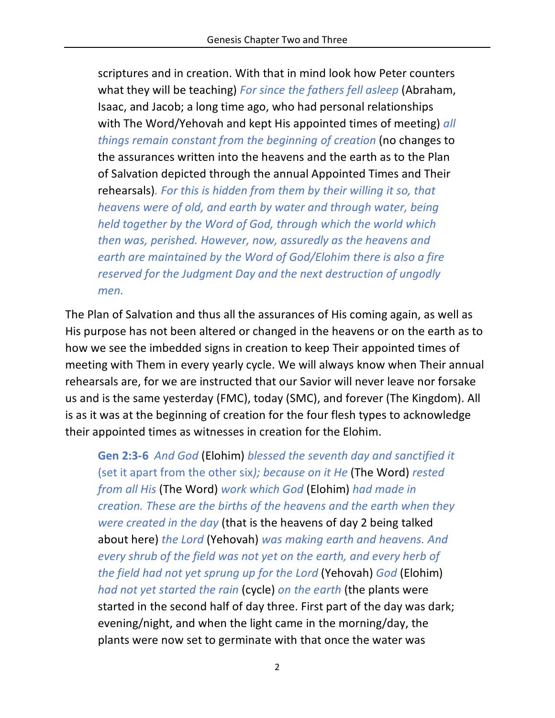scriptures and in creation. With that in mind look how Peter counters what they will be teaching) *For since the fathers fell asleep* (Abraham, Isaac, and Jacob; a long time ago, who had personal relationships with The Word/Yehovah and kept His appointed times of meeting) *all things remain constant from the beginning of creation* (no changes to the assurances written into the heavens and the earth as to the Plan of Salvation depicted through the annual Appointed Times and Their rehearsals)*. For this is hidden from them by their willing it so, that heavens were of old, and earth by water and through water, being held together by the Word of God, through which the world which then was, perished. However, now, assuredly as the heavens and earth are maintained by the Word of God/Elohim there is also a fire reserved for the Judgment Day and the next destruction of ungodly men.*

The Plan of Salvation and thus all the assurances of His coming again, as well as His purpose has not been altered or changed in the heavens or on the earth as to how we see the imbedded signs in creation to keep Their appointed times of meeting with Them in every yearly cycle. We will always know when Their annual rehearsals are, for we are instructed that our Savior will never leave nor forsake us and is the same yesterday (FMC), today (SMC), and forever (The Kingdom). All is as it was at the beginning of creation for the four flesh types to acknowledge their appointed times as witnesses in creation for the Elohim.

**Gen 2:3-6** *And God* (Elohim) *blessed the seventh day and sanctified it*  (set it apart from the other six*); because on it He* (The Word) *rested from all His* (The Word) *work which God* (Elohim) *had made in creation. These are the births of the heavens and the earth when they were created in the day* (that is the heavens of day 2 being talked about here) *the Lord* (Yehovah) *was making earth and heavens. And every shrub of the field was not yet on the earth, and every herb of the field had not yet sprung up for the Lord* (Yehovah) *God* (Elohim) *had not yet started the rain* (cycle) *on the earth* (the plants were started in the second half of day three. First part of the day was dark; evening/night, and when the light came in the morning/day, the plants were now set to germinate with that once the water was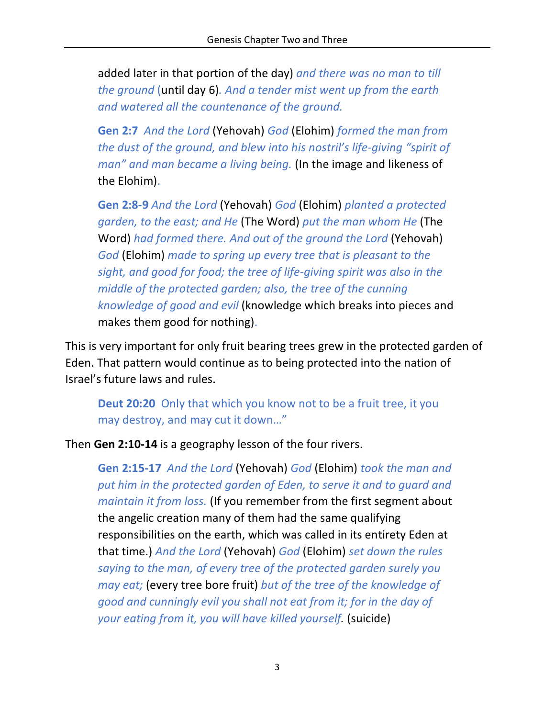added later in that portion of the day) *and there was no man to till the ground* (until day 6)*. And a tender mist went up from the earth and watered all the countenance of the ground.*

**Gen 2:7** *And the Lord* (Yehovah) *God* (Elohim) *formed the man from the dust of the ground, and blew into his nostril's life-giving "spirit of man" and man became a living being.* (In the image and likeness of the Elohim).

**Gen 2:8-9** *And the Lord* (Yehovah) *God* (Elohim) *planted a protected garden, to the east; and He* (The Word) *put the man whom He* (The Word) *had formed there. And out of the ground the Lord* (Yehovah) *God* (Elohim) *made to spring up every tree that is pleasant to the sight, and good for food; the tree of life-giving spirit was also in the middle of the protected garden; also, the tree of the cunning knowledge of good and evil* (knowledge which breaks into pieces and makes them good for nothing).

This is very important for only fruit bearing trees grew in the protected garden of Eden. That pattern would continue as to being protected into the nation of Israel's future laws and rules.

**Deut 20:20** Only that which you know not to be a fruit tree, it you may destroy, and may cut it down…"

Then **Gen 2:10-14** is a geography lesson of the four rivers.

**Gen 2:15-17** *And the Lord* (Yehovah) *God* (Elohim) *took the man and put him in the protected garden of Eden, to serve it and to guard and maintain it from loss.* (If you remember from the first segment about the angelic creation many of them had the same qualifying responsibilities on the earth, which was called in its entirety Eden at that time.) *And the Lord* (Yehovah) *God* (Elohim) *set down the rules saying to the man, of every tree of the protected garden surely you may eat;* (every tree bore fruit) *but of the tree of the knowledge of good and cunningly evil you shall not eat from it; for in the day of your eating from it, you will have killed yourself.* (suicide)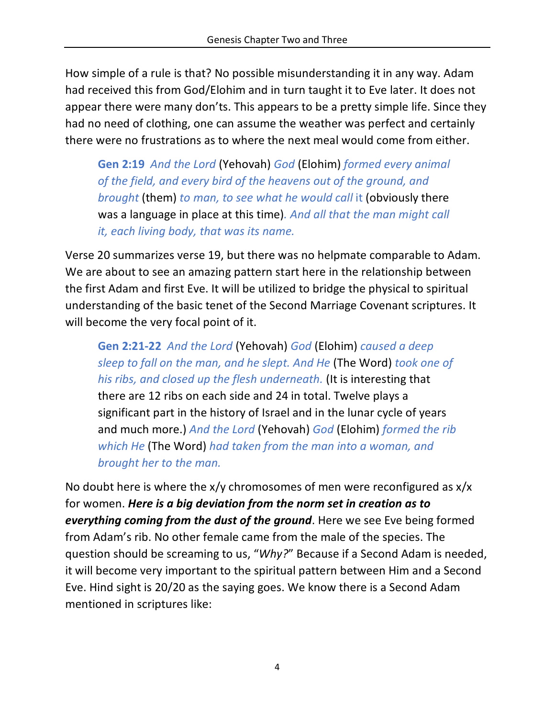How simple of a rule is that? No possible misunderstanding it in any way. Adam had received this from God/Elohim and in turn taught it to Eve later. It does not appear there were many don'ts. This appears to be a pretty simple life. Since they had no need of clothing, one can assume the weather was perfect and certainly there were no frustrations as to where the next meal would come from either.

**Gen 2:19** *And the Lord* (Yehovah) *God* (Elohim) *formed every animal of the field, and every bird of the heavens out of the ground, and brought* (them) *to man, to see what he would call* it (obviously there was a language in place at this time)*. And all that the man might call it, each living body, that was its name.*

Verse 20 summarizes verse 19, but there was no helpmate comparable to Adam. We are about to see an amazing pattern start here in the relationship between the first Adam and first Eve. It will be utilized to bridge the physical to spiritual understanding of the basic tenet of the Second Marriage Covenant scriptures. It will become the very focal point of it.

**Gen 2:21-22** *And the Lord* (Yehovah) *God* (Elohim) *caused a deep sleep to fall on the man, and he slept. And He* (The Word) *took one of his ribs, and closed up the flesh underneath.* (It is interesting that there are 12 ribs on each side and 24 in total. Twelve plays a significant part in the history of Israel and in the lunar cycle of years and much more.) *And the Lord* (Yehovah) *God* (Elohim) *formed the rib which He* (The Word) *had taken from the man into a woman, and brought her to the man.* 

No doubt here is where the  $x/y$  chromosomes of men were reconfigured as  $x/x$ for women. *Here is a big deviation from the norm set in creation as to everything coming from the dust of the ground*. Here we see Eve being formed from Adam's rib. No other female came from the male of the species. The question should be screaming to us, "*Why?*" Because if a Second Adam is needed, it will become very important to the spiritual pattern between Him and a Second Eve. Hind sight is 20/20 as the saying goes. We know there is a Second Adam mentioned in scriptures like: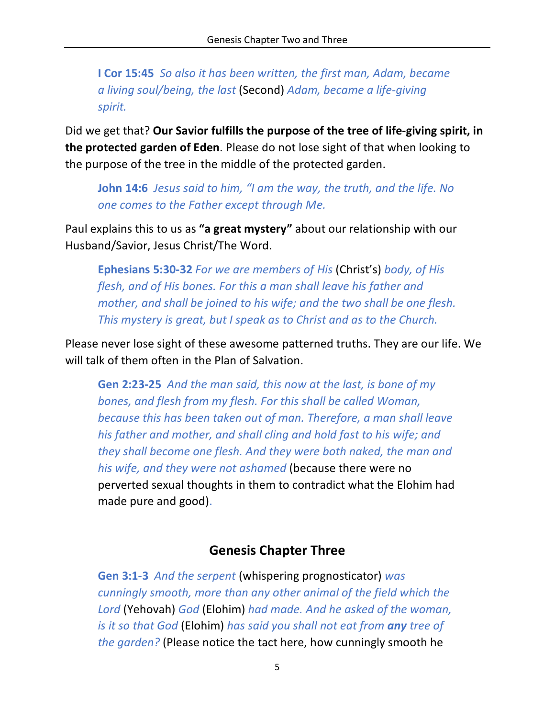**I Cor 15:45** *So also it has been written, the first man, Adam, became a living soul/being, the last* (Second) *Adam, became a life-giving spirit.*

Did we get that? **Our Savior fulfills the purpose of the tree of life-giving spirit, in the protected garden of Eden**. Please do not lose sight of that when looking to the purpose of the tree in the middle of the protected garden.

**John 14:6** *Jesus said to him, "I am the way, the truth, and the life. No one comes to the Father except through Me.*

Paul explains this to us as **"a great mystery"** about our relationship with our Husband/Savior, Jesus Christ/The Word.

**Ephesians 5:30-32** *For we are members of His* (Christ's) *body, of His flesh, and of His bones. For this a man shall leave his father and mother, and shall be joined to his wife; and the two shall be one flesh. This mystery is great, but I speak as to Christ and as to the Church.*

Please never lose sight of these awesome patterned truths. They are our life. We will talk of them often in the Plan of Salvation.

**Gen 2:23-25** *And the man said, this now at the last, is bone of my bones, and flesh from my flesh. For this shall be called Woman, because this has been taken out of man. Therefore, a man shall leave his father and mother, and shall cling and hold fast to his wife; and they shall become one flesh. And they were both naked, the man and his wife, and they were not ashamed* (because there were no perverted sexual thoughts in them to contradict what the Elohim had made pure and good).

## **Genesis Chapter Three**

**Gen 3:1-3** *And the serpent* (whispering prognosticator) *was cunningly smooth, more than any other animal of the field which the Lord* (Yehovah) *God* (Elohim) *had made. And he asked of the woman, is it so that God* (Elohim) *has said you shall not eat from any tree of the garden?* (Please notice the tact here, how cunningly smooth he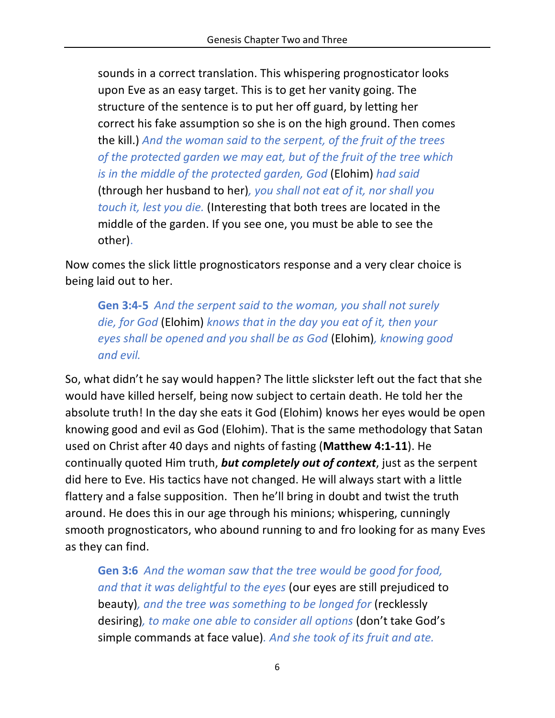sounds in a correct translation. This whispering prognosticator looks upon Eve as an easy target. This is to get her vanity going. The structure of the sentence is to put her off guard, by letting her correct his fake assumption so she is on the high ground. Then comes the kill.) *And the woman said to the serpent, of the fruit of the trees of the protected garden we may eat, but of the fruit of the tree which is in the middle of the protected garden, God* (Elohim) *had said*  (through her husband to her)*, you shall not eat of it, nor shall you touch it, lest you die.* (Interesting that both trees are located in the middle of the garden. If you see one, you must be able to see the other).

Now comes the slick little prognosticators response and a very clear choice is being laid out to her.

**Gen 3:4-5** *And the serpent said to the woman, you shall not surely die, for God* (Elohim) *knows that in the day you eat of it, then your eyes shall be opened and you shall be as God* (Elohim)*, knowing good and evil.*

So, what didn't he say would happen? The little slickster left out the fact that she would have killed herself, being now subject to certain death. He told her the absolute truth! In the day she eats it God (Elohim) knows her eyes would be open knowing good and evil as God (Elohim). That is the same methodology that Satan used on Christ after 40 days and nights of fasting (**Matthew 4:1-11**). He continually quoted Him truth, *but completely out of context*, just as the serpent did here to Eve. His tactics have not changed. He will always start with a little flattery and a false supposition. Then he'll bring in doubt and twist the truth around. He does this in our age through his minions; whispering, cunningly smooth prognosticators, who abound running to and fro looking for as many Eves as they can find.

**Gen 3:6** *And the woman saw that the tree would be good for food, and that it was delightful to the eyes* (our eyes are still prejudiced to beauty)*, and the tree was something to be longed for* (recklessly desiring)*, to make one able to consider all options* (don't take God's simple commands at face value)*. And she took of its fruit and ate.*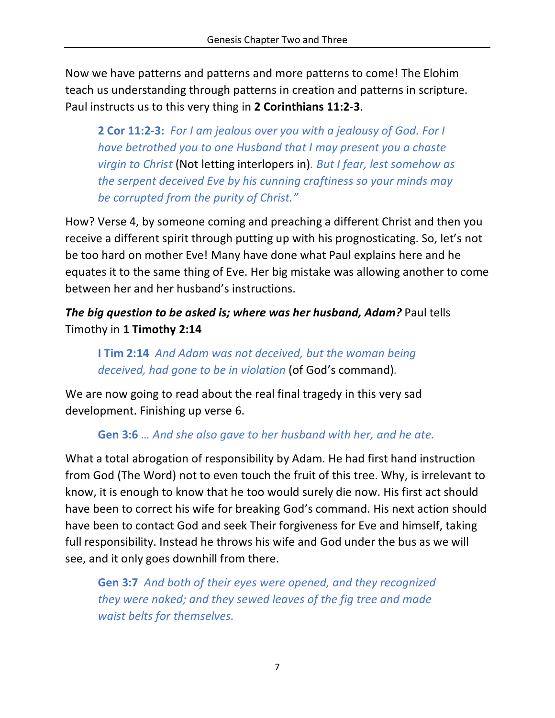Now we have patterns and patterns and more patterns to come! The Elohim teach us understanding through patterns in creation and patterns in scripture. Paul instructs us to this very thing in **2 Corinthians 11:2-3**.

**2 Cor 11:2-3:** *For I am jealous over you with a jealousy of God. For I have betrothed you to one Husband that I may present you a chaste virgin to Christ* (Not letting interlopers in)*. But I fear, lest somehow as the serpent deceived Eve by his cunning craftiness so your minds may be corrupted from the purity of Christ."* 

How? Verse 4, by someone coming and preaching a different Christ and then you receive a different spirit through putting up with his prognosticating. So, let's not be too hard on mother Eve! Many have done what Paul explains here and he equates it to the same thing of Eve. Her big mistake was allowing another to come between her and her husband's instructions.

## *The big question to be asked is; where was her husband, Adam?* Paul tells Timothy in **1 Timothy 2:14**

## **I Tim 2:14** *And Adam was not deceived, but the woman being deceived, had gone to be in violation* (of God's command)*.*

We are now going to read about the real final tragedy in this very sad development. Finishing up verse 6.

## **Gen 3:6** *… And she also gave to her husband with her, and he ate.*

What a total abrogation of responsibility by Adam. He had first hand instruction from God (The Word) not to even touch the fruit of this tree. Why, is irrelevant to know, it is enough to know that he too would surely die now. His first act should have been to correct his wife for breaking God's command. His next action should have been to contact God and seek Their forgiveness for Eve and himself, taking full responsibility. Instead he throws his wife and God under the bus as we will see, and it only goes downhill from there.

**Gen 3:7** *And both of their eyes were opened, and they recognized they were naked; and they sewed leaves of the fig tree and made waist belts for themselves.*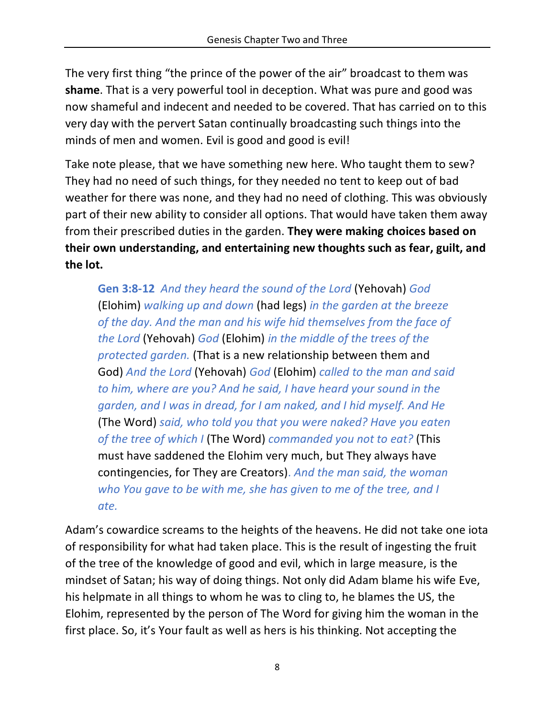The very first thing "the prince of the power of the air" broadcast to them was **shame**. That is a very powerful tool in deception. What was pure and good was now shameful and indecent and needed to be covered. That has carried on to this very day with the pervert Satan continually broadcasting such things into the minds of men and women. Evil is good and good is evil!

Take note please, that we have something new here. Who taught them to sew? They had no need of such things, for they needed no tent to keep out of bad weather for there was none, and they had no need of clothing. This was obviously part of their new ability to consider all options. That would have taken them away from their prescribed duties in the garden. **They were making choices based on their own understanding, and entertaining new thoughts such as fear, guilt, and the lot.**

**Gen 3:8-12** *And they heard the sound of the Lord* (Yehovah) *God*  (Elohim) *walking up and down* (had legs) *in the garden at the breeze of the day. And the man and his wife hid themselves from the face of the Lord* (Yehovah) *God* (Elohim) *in the middle of the trees of the protected garden.* (That is a new relationship between them and God) *And the Lord* (Yehovah) *God* (Elohim) *called to the man and said to him, where are you? And he said, I have heard your sound in the garden, and I was in dread, for I am naked, and I hid myself. And He*  (The Word) *said, who told you that you were naked? Have you eaten of the tree of which I* (The Word) *commanded you not to eat?* (This must have saddened the Elohim very much, but They always have contingencies, for They are Creators). *And the man said, the woman who You gave to be with me, she has given to me of the tree, and I ate.*

Adam's cowardice screams to the heights of the heavens. He did not take one iota of responsibility for what had taken place. This is the result of ingesting the fruit of the tree of the knowledge of good and evil, which in large measure, is the mindset of Satan; his way of doing things. Not only did Adam blame his wife Eve, his helpmate in all things to whom he was to cling to, he blames the US, the Elohim, represented by the person of The Word for giving him the woman in the first place. So, it's Your fault as well as hers is his thinking. Not accepting the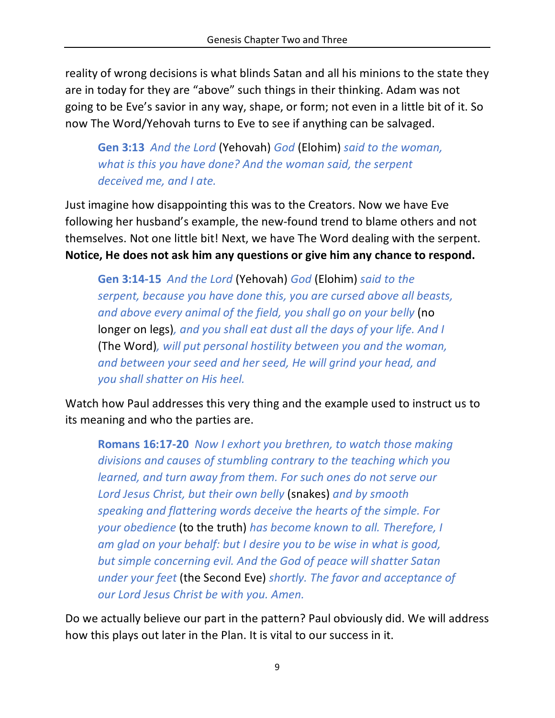reality of wrong decisions is what blinds Satan and all his minions to the state they are in today for they are "above" such things in their thinking. Adam was not going to be Eve's savior in any way, shape, or form; not even in a little bit of it. So now The Word/Yehovah turns to Eve to see if anything can be salvaged.

**Gen 3:13** *And the Lord* (Yehovah) *God* (Elohim) *said to the woman, what is this you have done? And the woman said, the serpent deceived me, and I ate.*

Just imagine how disappointing this was to the Creators. Now we have Eve following her husband's example, the new-found trend to blame others and not themselves. Not one little bit! Next, we have The Word dealing with the serpent. **Notice, He does not ask him any questions or give him any chance to respond.**

**Gen 3:14-15** *And the Lord* (Yehovah) *God* (Elohim) *said to the serpent, because you have done this, you are cursed above all beasts, and above every animal of the field, you shall go on your belly* (no longer on legs)*, and you shall eat dust all the days of your life. And I*  (The Word)*, will put personal hostility between you and the woman, and between your seed and her seed, He will grind your head, and you shall shatter on His heel.*

Watch how Paul addresses this very thing and the example used to instruct us to its meaning and who the parties are.

**Romans 16:17-20** *Now I exhort you brethren, to watch those making divisions and causes of stumbling contrary to the teaching which you learned, and turn away from them. For such ones do not serve our Lord Jesus Christ, but their own belly* (snakes) *and by smooth speaking and flattering words deceive the hearts of the simple. For your obedience* (to the truth) *has become known to all. Therefore, I am glad on your behalf: but I desire you to be wise in what is good, but simple concerning evil. And the God of peace will shatter Satan under your feet* (the Second Eve) *shortly. The favor and acceptance of our Lord Jesus Christ be with you. Amen.*

Do we actually believe our part in the pattern? Paul obviously did. We will address how this plays out later in the Plan. It is vital to our success in it.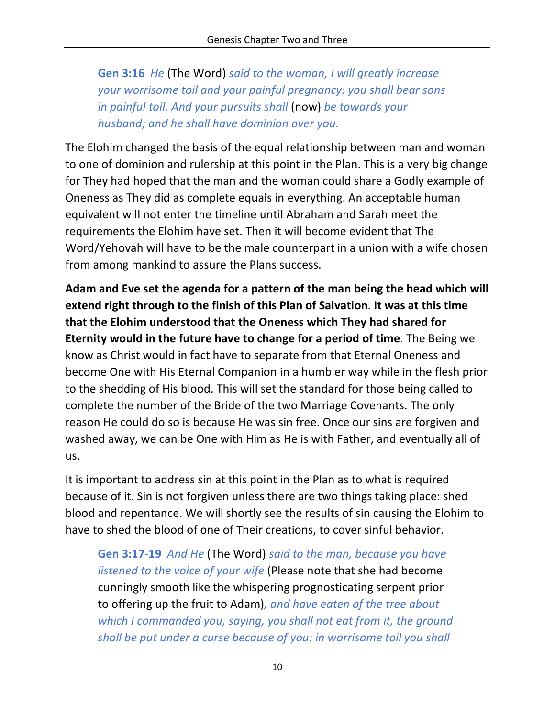**Gen 3:16** *He* (The Word) *said to the woman, I will greatly increase your worrisome toil and your painful pregnancy: you shall bear sons in painful toil. And your pursuits shall* (now) *be towards your husband; and he shall have dominion over you.*

The Elohim changed the basis of the equal relationship between man and woman to one of dominion and rulership at this point in the Plan. This is a very big change for They had hoped that the man and the woman could share a Godly example of Oneness as They did as complete equals in everything. An acceptable human equivalent will not enter the timeline until Abraham and Sarah meet the requirements the Elohim have set. Then it will become evident that The Word/Yehovah will have to be the male counterpart in a union with a wife chosen from among mankind to assure the Plans success.

**Adam and Eve set the agenda for a pattern of the man being the head which will extend right through to the finish of this Plan of Salvation**. **It was at this time that the Elohim understood that the Oneness which They had shared for Eternity would in the future have to change for a period of time**. The Being we know as Christ would in fact have to separate from that Eternal Oneness and become One with His Eternal Companion in a humbler way while in the flesh prior to the shedding of His blood. This will set the standard for those being called to complete the number of the Bride of the two Marriage Covenants. The only reason He could do so is because He was sin free. Once our sins are forgiven and washed away, we can be One with Him as He is with Father, and eventually all of us.

It is important to address sin at this point in the Plan as to what is required because of it. Sin is not forgiven unless there are two things taking place: shed blood and repentance. We will shortly see the results of sin causing the Elohim to have to shed the blood of one of Their creations, to cover sinful behavior.

**Gen 3:17-19** *And He* (The Word) *said to the man, because you have listened to the voice of your wife* (Please note that she had become cunningly smooth like the whispering prognosticating serpent prior to offering up the fruit to Adam)*, and have eaten of the tree about which I commanded you, saying, you shall not eat from it, the ground shall be put under a curse because of you: in worrisome toil you shall*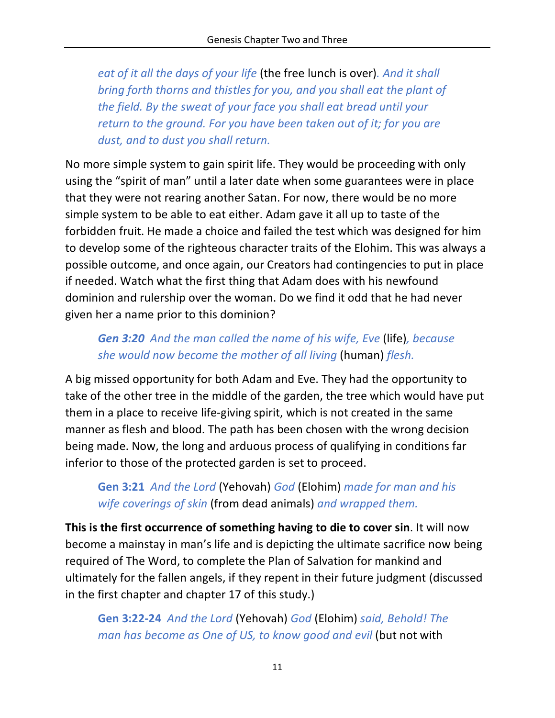*eat of it all the days of your life* (the free lunch is over)*. And it shall bring forth thorns and thistles for you, and you shall eat the plant of the field. By the sweat of your face you shall eat bread until your return to the ground. For you have been taken out of it; for you are dust, and to dust you shall return.*

No more simple system to gain spirit life. They would be proceeding with only using the "spirit of man" until a later date when some guarantees were in place that they were not rearing another Satan. For now, there would be no more simple system to be able to eat either. Adam gave it all up to taste of the forbidden fruit. He made a choice and failed the test which was designed for him to develop some of the righteous character traits of the Elohim. This was always a possible outcome, and once again, our Creators had contingencies to put in place if needed. Watch what the first thing that Adam does with his newfound dominion and rulership over the woman. Do we find it odd that he had never given her a name prior to this dominion?

*Gen 3:20 And the man called the name of his wife, Eve* (life)*, because she would now become the mother of all living* (human) *flesh.*

A big missed opportunity for both Adam and Eve. They had the opportunity to take of the other tree in the middle of the garden, the tree which would have put them in a place to receive life-giving spirit, which is not created in the same manner as flesh and blood. The path has been chosen with the wrong decision being made. Now, the long and arduous process of qualifying in conditions far inferior to those of the protected garden is set to proceed.

**Gen 3:21** *And the Lord* (Yehovah) *God* (Elohim) *made for man and his wife coverings of skin* (from dead animals) *and wrapped them.*

**This is the first occurrence of something having to die to cover sin**. It will now become a mainstay in man's life and is depicting the ultimate sacrifice now being required of The Word, to complete the Plan of Salvation for mankind and ultimately for the fallen angels, if they repent in their future judgment (discussed in the first chapter and chapter 17 of this study.)

**Gen 3:22-24** *And the Lord* (Yehovah) *God* (Elohim) *said, Behold! The man has become as One of US, to know good and evil* (but not with